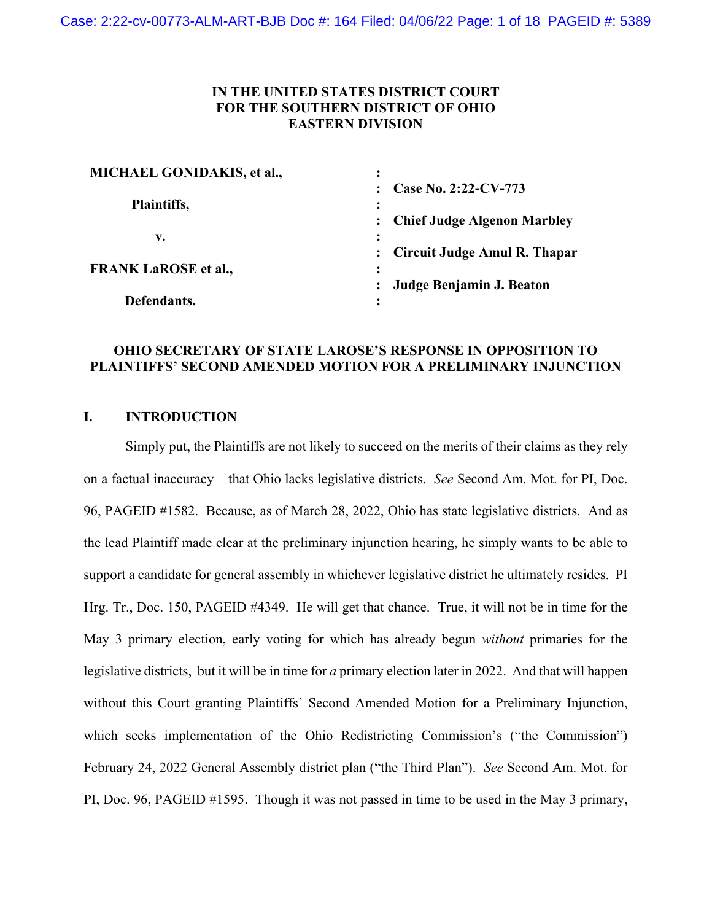## **IN THE UNITED STATES DISTRICT COURT FOR THE SOUTHERN DISTRICT OF OHIO EASTERN DIVISION**

| MICHAEL GONIDAKIS, et al.,  |                                                     |
|-----------------------------|-----------------------------------------------------|
| Plaintiffs,                 | Case No. 2:22-CV-773                                |
|                             |                                                     |
|                             | <b>Chief Judge Algenon Marbley</b>                  |
| v.                          |                                                     |
| <b>FRANK LaROSE et al.,</b> | <b>Circuit Judge Amul R. Thapar</b><br>$\mathbf{L}$ |
|                             | $\ddot{\cdot}$                                      |
|                             | Judge Benjamin J. Beaton                            |
| Defendants.                 | $\bullet$                                           |

## **OHIO SECRETARY OF STATE LAROSE'S RESPONSE IN OPPOSITION TO PLAINTIFFS' SECOND AMENDED MOTION FOR A PRELIMINARY INJUNCTION**

## **I. INTRODUCTION**

Simply put, the Plaintiffs are not likely to succeed on the merits of their claims as they rely on a factual inaccuracy – that Ohio lacks legislative districts. *See* Second Am. Mot. for PI, Doc. 96, PAGEID #1582. Because, as of March 28, 2022, Ohio has state legislative districts. And as the lead Plaintiff made clear at the preliminary injunction hearing, he simply wants to be able to support a candidate for general assembly in whichever legislative district he ultimately resides. PI Hrg. Tr., Doc. 150, PAGEID #4349. He will get that chance. True, it will not be in time for the May 3 primary election, early voting for which has already begun *without* primaries for the legislative districts, but it will be in time for *a* primary election later in 2022. And that will happen without this Court granting Plaintiffs' Second Amended Motion for a Preliminary Injunction, which seeks implementation of the Ohio Redistricting Commission's ("the Commission") February 24, 2022 General Assembly district plan ("the Third Plan"). *See* Second Am. Mot. for PI, Doc. 96, PAGEID #1595. Though it was not passed in time to be used in the May 3 primary,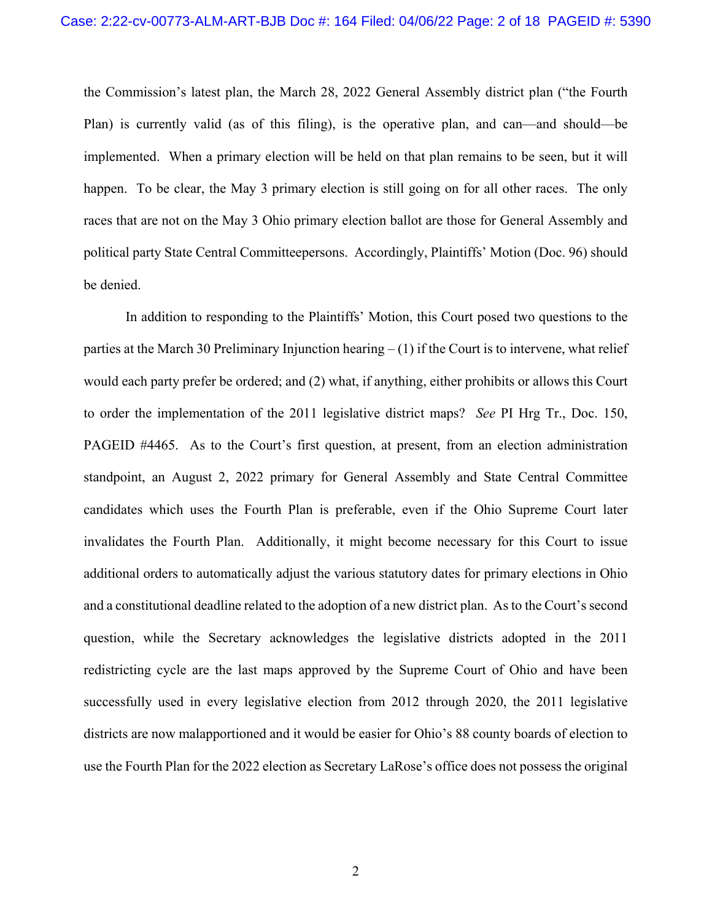the Commission's latest plan, the March 28, 2022 General Assembly district plan ("the Fourth Plan) is currently valid (as of this filing), is the operative plan, and can—and should—be implemented. When a primary election will be held on that plan remains to be seen, but it will happen. To be clear, the May 3 primary election is still going on for all other races. The only races that are not on the May 3 Ohio primary election ballot are those for General Assembly and political party State Central Committeepersons. Accordingly, Plaintiffs' Motion (Doc. 96) should be denied.

In addition to responding to the Plaintiffs' Motion, this Court posed two questions to the parties at the March 30 Preliminary Injunction hearing  $- (1)$  if the Court is to intervene, what relief would each party prefer be ordered; and (2) what, if anything, either prohibits or allows this Court to order the implementation of the 2011 legislative district maps? *See* PI Hrg Tr., Doc. 150, PAGEID #4465. As to the Court's first question, at present, from an election administration standpoint, an August 2, 2022 primary for General Assembly and State Central Committee candidates which uses the Fourth Plan is preferable, even if the Ohio Supreme Court later invalidates the Fourth Plan. Additionally, it might become necessary for this Court to issue additional orders to automatically adjust the various statutory dates for primary elections in Ohio and a constitutional deadline related to the adoption of a new district plan. As to the Court's second question, while the Secretary acknowledges the legislative districts adopted in the 2011 redistricting cycle are the last maps approved by the Supreme Court of Ohio and have been successfully used in every legislative election from 2012 through 2020, the 2011 legislative districts are now malapportioned and it would be easier for Ohio's 88 county boards of election to use the Fourth Plan for the 2022 election as Secretary LaRose's office does not possess the original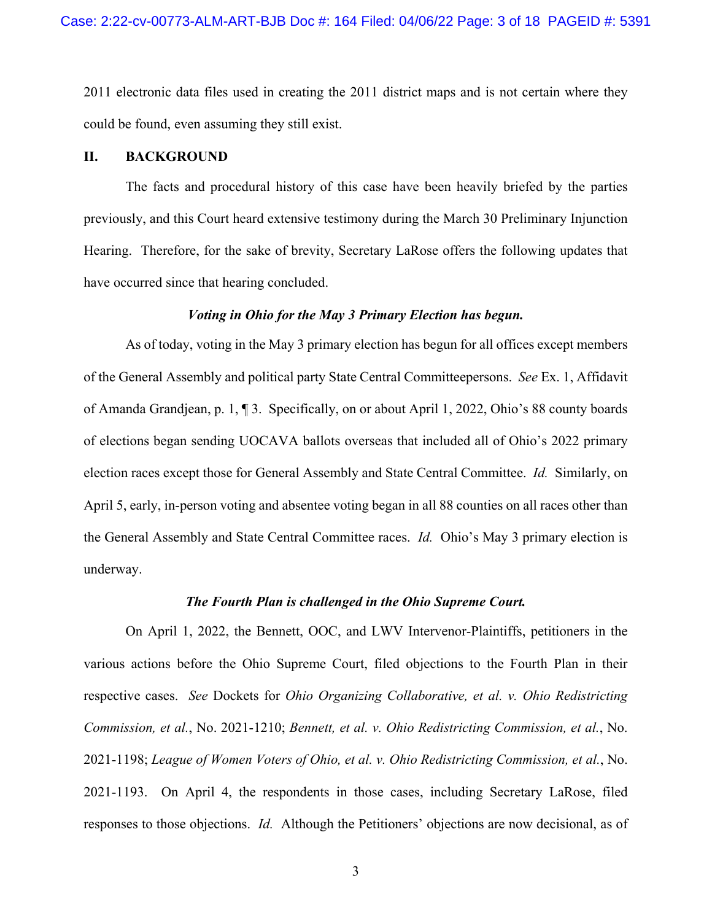2011 electronic data files used in creating the 2011 district maps and is not certain where they could be found, even assuming they still exist.

### **II. BACKGROUND**

The facts and procedural history of this case have been heavily briefed by the parties previously, and this Court heard extensive testimony during the March 30 Preliminary Injunction Hearing. Therefore, for the sake of brevity, Secretary LaRose offers the following updates that have occurred since that hearing concluded.

### *Voting in Ohio for the May 3 Primary Election has begun.*

As of today, voting in the May 3 primary election has begun for all offices except members of the General Assembly and political party State Central Committeepersons. *See* Ex. 1, Affidavit of Amanda Grandjean, p. 1, ¶ 3. Specifically, on or about April 1, 2022, Ohio's 88 county boards of elections began sending UOCAVA ballots overseas that included all of Ohio's 2022 primary election races except those for General Assembly and State Central Committee. *Id.* Similarly, on April 5, early, in-person voting and absentee voting began in all 88 counties on all races other than the General Assembly and State Central Committee races. *Id.* Ohio's May 3 primary election is underway.

#### *The Fourth Plan is challenged in the Ohio Supreme Court.*

On April 1, 2022, the Bennett, OOC, and LWV Intervenor-Plaintiffs, petitioners in the various actions before the Ohio Supreme Court, filed objections to the Fourth Plan in their respective cases. *See* Dockets for *Ohio Organizing Collaborative, et al. v. Ohio Redistricting Commission, et al.*, No. 2021-1210; *Bennett, et al. v. Ohio Redistricting Commission, et al.*, No. 2021-1198; *League of Women Voters of Ohio, et al. v. Ohio Redistricting Commission, et al.*, No. 2021-1193. On April 4, the respondents in those cases, including Secretary LaRose, filed responses to those objections. *Id.* Although the Petitioners' objections are now decisional, as of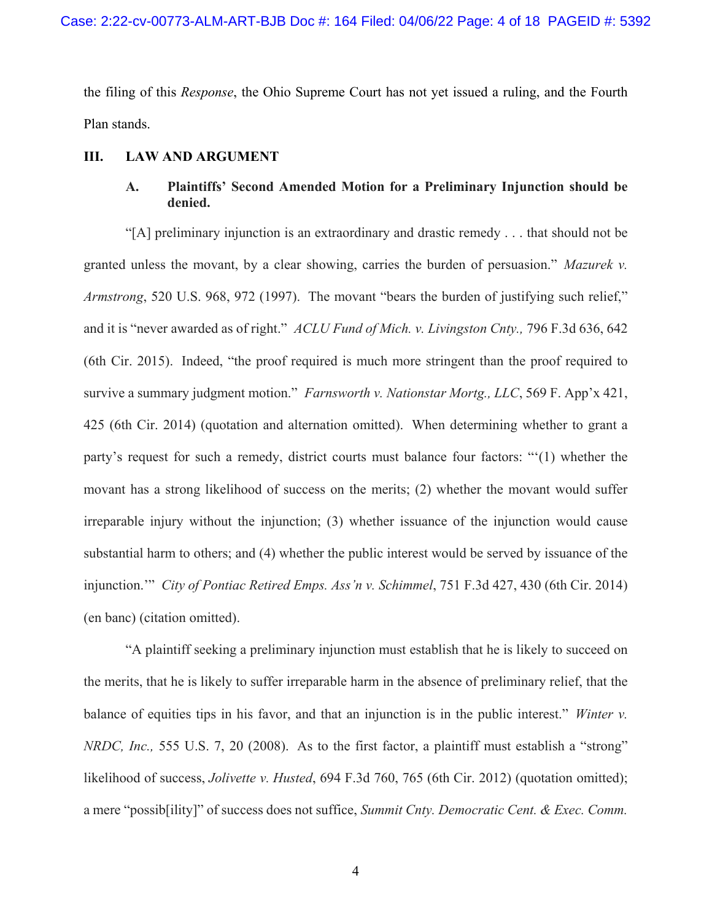the filing of this *Response*, the Ohio Supreme Court has not yet issued a ruling, and the Fourth Plan stands.

#### **III. LAW AND ARGUMENT**

# **A. Plaintiffs' Second Amended Motion for a Preliminary Injunction should be denied.**

"[A] preliminary injunction is an extraordinary and drastic remedy . . . that should not be granted unless the movant, by a clear showing, carries the burden of persuasion." *Mazurek v. Armstrong*, 520 U.S. 968, 972 (1997). The movant "bears the burden of justifying such relief," and it is "never awarded as of right." *ACLU Fund of Mich. v. Livingston Cnty.,* 796 F.3d 636, 642 (6th Cir. 2015). Indeed, "the proof required is much more stringent than the proof required to survive a summary judgment motion." *Farnsworth v. Nationstar Mortg., LLC*, 569 F. App'x 421, 425 (6th Cir. 2014) (quotation and alternation omitted). When determining whether to grant a party's request for such a remedy, district courts must balance four factors: "'(1) whether the movant has a strong likelihood of success on the merits; (2) whether the movant would suffer irreparable injury without the injunction; (3) whether issuance of the injunction would cause substantial harm to others; and (4) whether the public interest would be served by issuance of the injunction.'" *City of Pontiac Retired Emps. Ass'n v. Schimmel*, 751 F.3d 427, 430 (6th Cir. 2014) (en banc) (citation omitted).

"A plaintiff seeking a preliminary injunction must establish that he is likely to succeed on the merits, that he is likely to suffer irreparable harm in the absence of preliminary relief, that the balance of equities tips in his favor, and that an injunction is in the public interest." *Winter v. NRDC, Inc.,* 555 U.S. 7, 20 (2008). As to the first factor, a plaintiff must establish a "strong" likelihood of success, *Jolivette v. Husted*, 694 F.3d 760, 765 (6th Cir. 2012) (quotation omitted); a mere "possib[ility]" of success does not suffice, *Summit Cnty. Democratic Cent. & Exec. Comm.*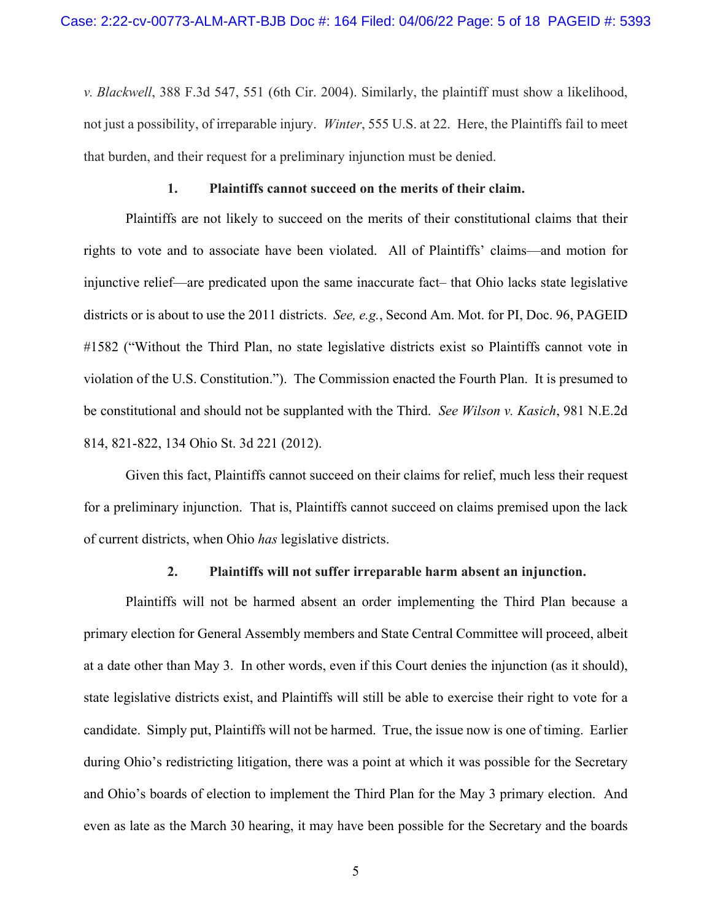*v. Blackwell*, 388 F.3d 547, 551 (6th Cir. 2004). Similarly, the plaintiff must show a likelihood, not just a possibility, of irreparable injury. *Winter*, 555 U.S. at 22. Here, the Plaintiffs fail to meet that burden, and their request for a preliminary injunction must be denied.

#### **1. Plaintiffs cannot succeed on the merits of their claim.**

Plaintiffs are not likely to succeed on the merits of their constitutional claims that their rights to vote and to associate have been violated. All of Plaintiffs' claims—and motion for injunctive relief—are predicated upon the same inaccurate fact– that Ohio lacks state legislative districts or is about to use the 2011 districts. *See, e.g.*, Second Am. Mot. for PI, Doc. 96, PAGEID #1582 ("Without the Third Plan, no state legislative districts exist so Plaintiffs cannot vote in violation of the U.S. Constitution."). The Commission enacted the Fourth Plan. It is presumed to be constitutional and should not be supplanted with the Third. *See Wilson v. Kasich*, 981 N.E.2d 814, 821-822, 134 Ohio St. 3d 221 (2012).

Given this fact, Plaintiffs cannot succeed on their claims for relief, much less their request for a preliminary injunction. That is, Plaintiffs cannot succeed on claims premised upon the lack of current districts, when Ohio *has* legislative districts.

#### **2. Plaintiffs will not suffer irreparable harm absent an injunction.**

Plaintiffs will not be harmed absent an order implementing the Third Plan because a primary election for General Assembly members and State Central Committee will proceed, albeit at a date other than May 3. In other words, even if this Court denies the injunction (as it should), state legislative districts exist, and Plaintiffs will still be able to exercise their right to vote for a candidate. Simply put, Plaintiffs will not be harmed. True, the issue now is one of timing. Earlier during Ohio's redistricting litigation, there was a point at which it was possible for the Secretary and Ohio's boards of election to implement the Third Plan for the May 3 primary election. And even as late as the March 30 hearing, it may have been possible for the Secretary and the boards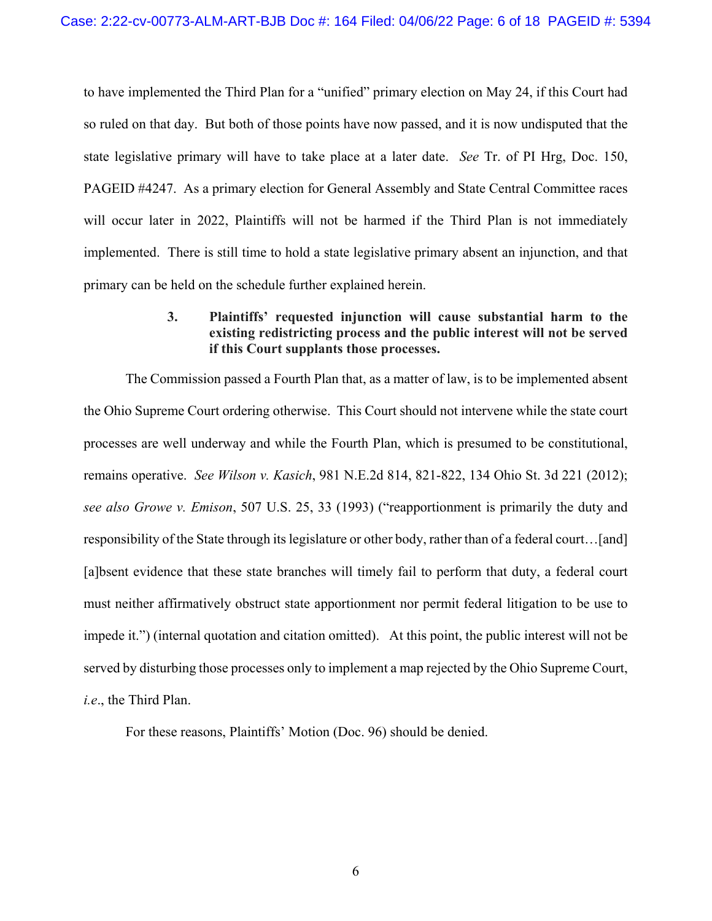to have implemented the Third Plan for a "unified" primary election on May 24, if this Court had so ruled on that day. But both of those points have now passed, and it is now undisputed that the state legislative primary will have to take place at a later date. *See* Tr. of PI Hrg, Doc. 150, PAGEID #4247. As a primary election for General Assembly and State Central Committee races will occur later in 2022, Plaintiffs will not be harmed if the Third Plan is not immediately implemented. There is still time to hold a state legislative primary absent an injunction, and that primary can be held on the schedule further explained herein.

## **3. Plaintiffs' requested injunction will cause substantial harm to the existing redistricting process and the public interest will not be served if this Court supplants those processes.**

The Commission passed a Fourth Plan that, as a matter of law, is to be implemented absent the Ohio Supreme Court ordering otherwise. This Court should not intervene while the state court processes are well underway and while the Fourth Plan, which is presumed to be constitutional, remains operative. *See Wilson v. Kasich*, 981 N.E.2d 814, 821-822, 134 Ohio St. 3d 221 (2012); *see also Growe v. Emison*, 507 U.S. 25, 33 (1993) ("reapportionment is primarily the duty and responsibility of the State through its legislature or other body, rather than of a federal court…[and] [a]bsent evidence that these state branches will timely fail to perform that duty, a federal court must neither affirmatively obstruct state apportionment nor permit federal litigation to be use to impede it.") (internal quotation and citation omitted). At this point, the public interest will not be served by disturbing those processes only to implement a map rejected by the Ohio Supreme Court, *i.e*., the Third Plan.

For these reasons, Plaintiffs' Motion (Doc. 96) should be denied.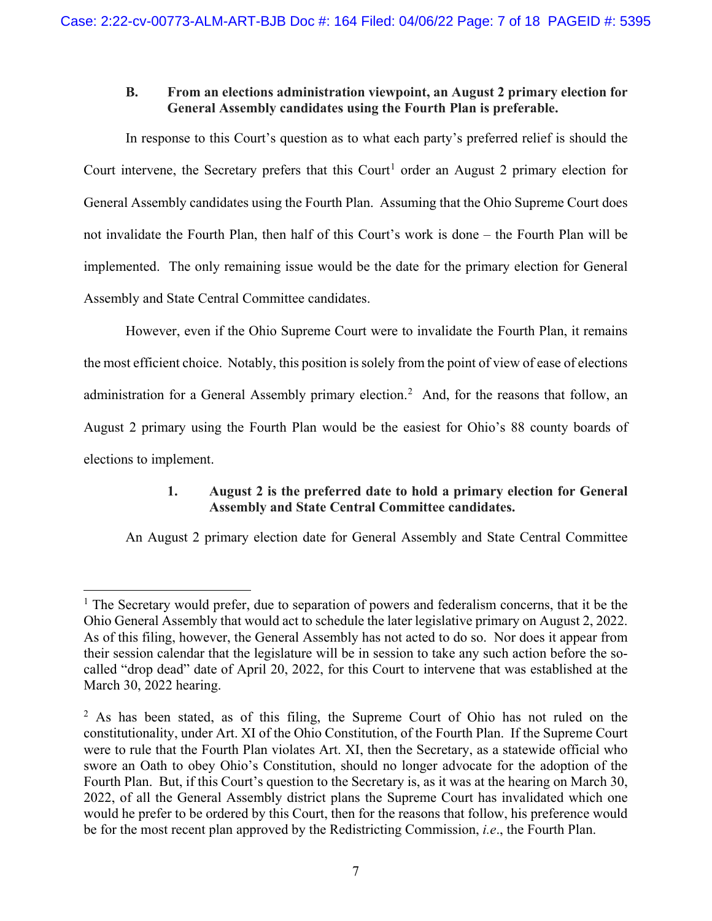# **B. From an elections administration viewpoint, an August 2 primary election for General Assembly candidates using the Fourth Plan is preferable.**

In response to this Court's question as to what each party's preferred relief is should the Court intervene, the Secretary prefers that this Court<sup>[1](#page-6-0)</sup> order an August 2 primary election for General Assembly candidates using the Fourth Plan. Assuming that the Ohio Supreme Court does not invalidate the Fourth Plan, then half of this Court's work is done – the Fourth Plan will be implemented. The only remaining issue would be the date for the primary election for General Assembly and State Central Committee candidates.

However, even if the Ohio Supreme Court were to invalidate the Fourth Plan, it remains the most efficient choice. Notably, this position is solely from the point of view of ease of elections administration for a General Assembly primary election.<sup>[2](#page-6-1)</sup> And, for the reasons that follow, an August 2 primary using the Fourth Plan would be the easiest for Ohio's 88 county boards of elections to implement.

# **1. August 2 is the preferred date to hold a primary election for General Assembly and State Central Committee candidates.**

An August 2 primary election date for General Assembly and State Central Committee

<span id="page-6-0"></span> $<sup>1</sup>$  The Secretary would prefer, due to separation of powers and federalism concerns, that it be the</sup> Ohio General Assembly that would act to schedule the later legislative primary on August 2, 2022. As of this filing, however, the General Assembly has not acted to do so. Nor does it appear from their session calendar that the legislature will be in session to take any such action before the socalled "drop dead" date of April 20, 2022, for this Court to intervene that was established at the March 30, 2022 hearing.

<span id="page-6-1"></span><sup>&</sup>lt;sup>2</sup> As has been stated, as of this filing, the Supreme Court of Ohio has not ruled on the constitutionality, under Art. XI of the Ohio Constitution, of the Fourth Plan. If the Supreme Court were to rule that the Fourth Plan violates Art. XI, then the Secretary, as a statewide official who swore an Oath to obey Ohio's Constitution, should no longer advocate for the adoption of the Fourth Plan. But, if this Court's question to the Secretary is, as it was at the hearing on March 30, 2022, of all the General Assembly district plans the Supreme Court has invalidated which one would he prefer to be ordered by this Court, then for the reasons that follow, his preference would be for the most recent plan approved by the Redistricting Commission, *i.e*., the Fourth Plan.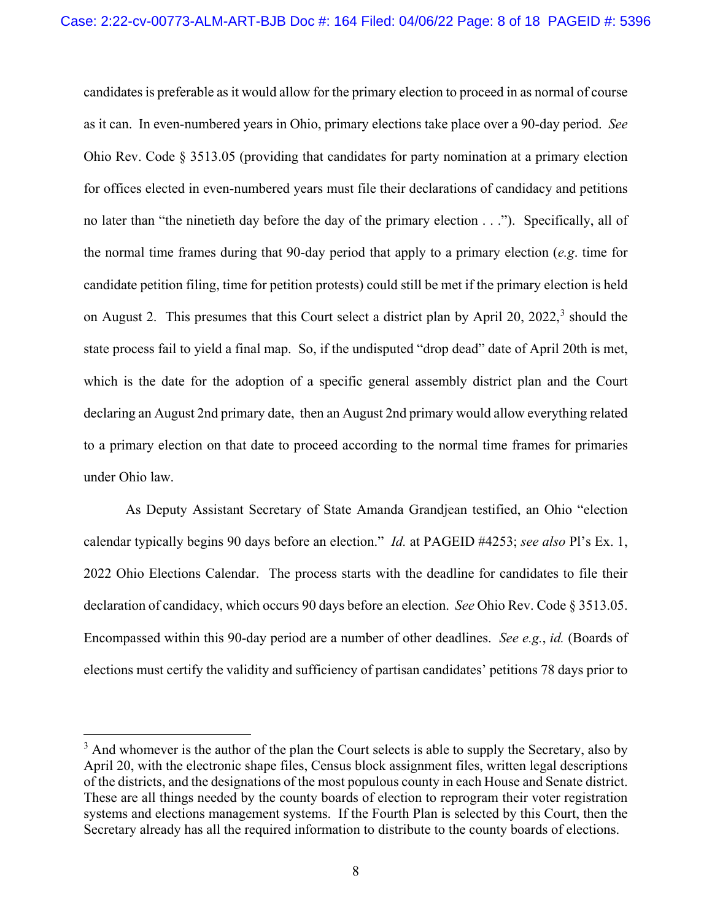candidates is preferable as it would allow for the primary election to proceed in as normal of course as it can. In even-numbered years in Ohio, primary elections take place over a 90-day period. *See* Ohio Rev. Code § 3513.05 (providing that candidates for party nomination at a primary election for offices elected in even-numbered years must file their declarations of candidacy and petitions no later than "the ninetieth day before the day of the primary election . . ."). Specifically, all of the normal time frames during that 90-day period that apply to a primary election (*e.g*. time for candidate petition filing, time for petition protests) could still be met if the primary election is held on August 2. This presumes that this Court select a district plan by April 20, 2022,<sup>[3](#page-7-0)</sup> should the state process fail to yield a final map. So, if the undisputed "drop dead" date of April 20th is met, which is the date for the adoption of a specific general assembly district plan and the Court declaring an August 2nd primary date, then an August 2nd primary would allow everything related to a primary election on that date to proceed according to the normal time frames for primaries under Ohio law.

As Deputy Assistant Secretary of State Amanda Grandjean testified, an Ohio "election calendar typically begins 90 days before an election." *Id.* at PAGEID #4253; *see also* Pl's Ex. 1, 2022 Ohio Elections Calendar. The process starts with the deadline for candidates to file their declaration of candidacy, which occurs 90 days before an election. *See* Ohio Rev. Code § 3513.05. Encompassed within this 90-day period are a number of other deadlines. *See e.g.*, *id.* (Boards of elections must certify the validity and sufficiency of partisan candidates' petitions 78 days prior to

<span id="page-7-0"></span> $3$  And whomever is the author of the plan the Court selects is able to supply the Secretary, also by April 20, with the electronic shape files, Census block assignment files, written legal descriptions of the districts, and the designations of the most populous county in each House and Senate district. These are all things needed by the county boards of election to reprogram their voter registration systems and elections management systems. If the Fourth Plan is selected by this Court, then the Secretary already has all the required information to distribute to the county boards of elections.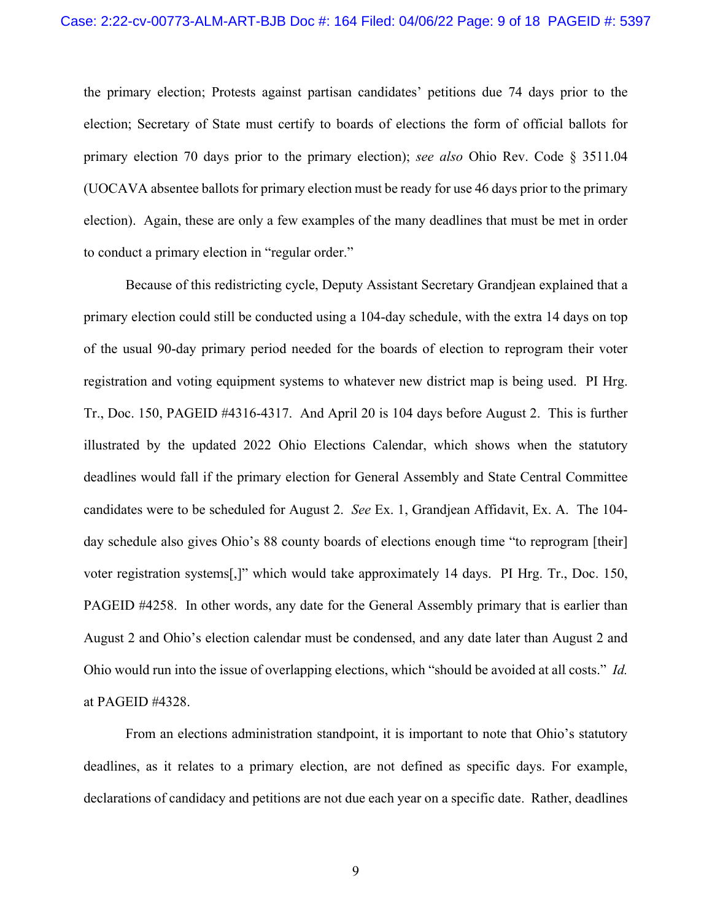the primary election; Protests against partisan candidates' petitions due 74 days prior to the election; Secretary of State must certify to boards of elections the form of official ballots for primary election 70 days prior to the primary election); *see also* Ohio Rev. Code § 3511.04 (UOCAVA absentee ballots for primary election must be ready for use 46 days prior to the primary election). Again, these are only a few examples of the many deadlines that must be met in order to conduct a primary election in "regular order."

Because of this redistricting cycle, Deputy Assistant Secretary Grandjean explained that a primary election could still be conducted using a 104-day schedule, with the extra 14 days on top of the usual 90-day primary period needed for the boards of election to reprogram their voter registration and voting equipment systems to whatever new district map is being used. PI Hrg. Tr., Doc. 150, PAGEID #4316-4317. And April 20 is 104 days before August 2. This is further illustrated by the updated 2022 Ohio Elections Calendar, which shows when the statutory deadlines would fall if the primary election for General Assembly and State Central Committee candidates were to be scheduled for August 2. *See* Ex. 1, Grandjean Affidavit, Ex. A. The 104 day schedule also gives Ohio's 88 county boards of elections enough time "to reprogram [their] voter registration systems[,]" which would take approximately 14 days. PI Hrg. Tr., Doc. 150, PAGEID #4258. In other words, any date for the General Assembly primary that is earlier than August 2 and Ohio's election calendar must be condensed, and any date later than August 2 and Ohio would run into the issue of overlapping elections, which "should be avoided at all costs." *Id.*  at PAGEID #4328.

From an elections administration standpoint, it is important to note that Ohio's statutory deadlines, as it relates to a primary election, are not defined as specific days. For example, declarations of candidacy and petitions are not due each year on a specific date. Rather, deadlines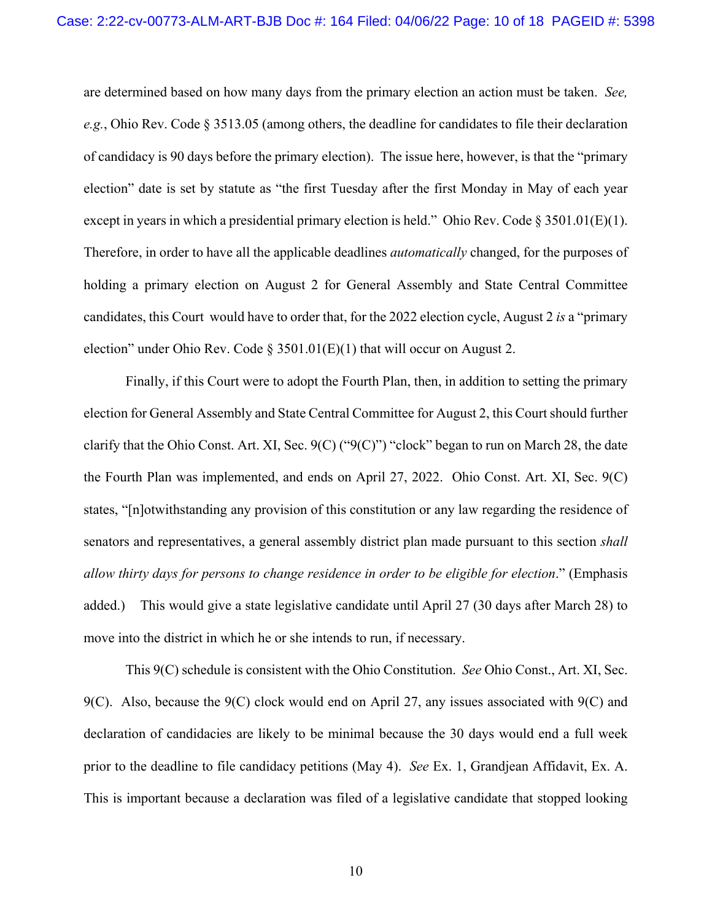are determined based on how many days from the primary election an action must be taken. *See, e.g.*, Ohio Rev. Code § 3513.05 (among others, the deadline for candidates to file their declaration of candidacy is 90 days before the primary election). The issue here, however, is that the "primary election" date is set by statute as "the first Tuesday after the first Monday in May of each year except in years in which a presidential primary election is held." Ohio Rev. Code § 3501.01(E)(1). Therefore, in order to have all the applicable deadlines *automatically* changed, for the purposes of holding a primary election on August 2 for General Assembly and State Central Committee candidates, this Court would have to order that, for the 2022 election cycle, August 2 *is* a "primary election" under Ohio Rev. Code § 3501.01(E)(1) that will occur on August 2.

Finally, if this Court were to adopt the Fourth Plan, then, in addition to setting the primary election for General Assembly and State Central Committee for August 2, this Court should further clarify that the Ohio Const. Art. XI, Sec. 9(C) ("9(C)") "clock" began to run on March 28, the date the Fourth Plan was implemented, and ends on April 27, 2022. Ohio Const. Art. XI, Sec. 9(C) states, "[n]otwithstanding any provision of this constitution or any law regarding the residence of senators and representatives, a general assembly district plan made pursuant to this section *shall allow thirty days for persons to change residence in order to be eligible for election*." (Emphasis added.) This would give a state legislative candidate until April 27 (30 days after March 28) to move into the district in which he or she intends to run, if necessary.

This 9(C) schedule is consistent with the Ohio Constitution. *See* Ohio Const., Art. XI, Sec. 9(C). Also, because the 9(C) clock would end on April 27, any issues associated with 9(C) and declaration of candidacies are likely to be minimal because the 30 days would end a full week prior to the deadline to file candidacy petitions (May 4). *See* Ex. 1, Grandjean Affidavit, Ex. A. This is important because a declaration was filed of a legislative candidate that stopped looking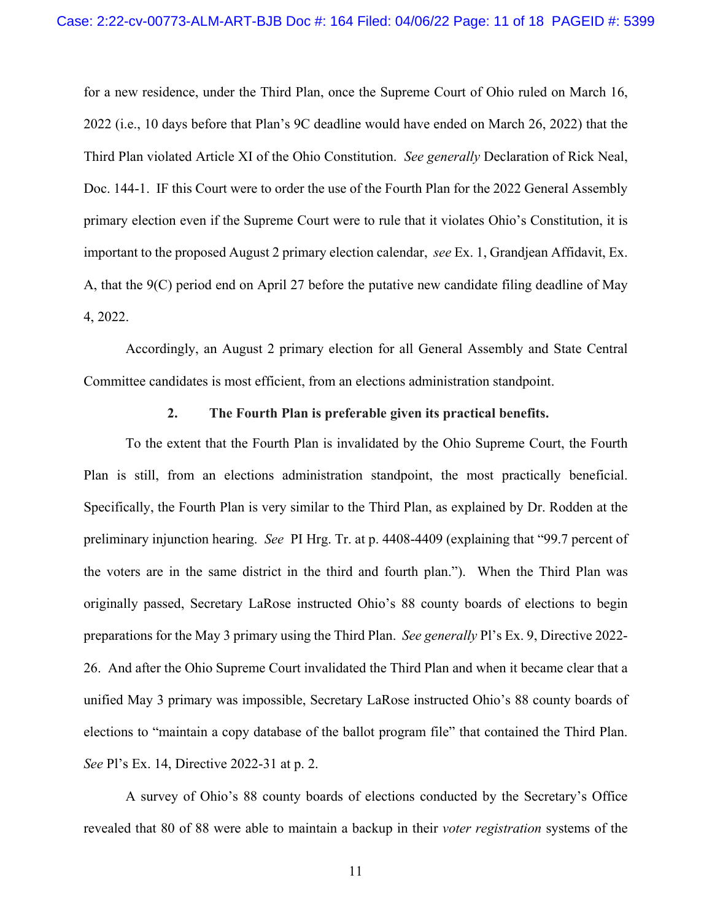for a new residence, under the Third Plan, once the Supreme Court of Ohio ruled on March 16, 2022 (i.e., 10 days before that Plan's 9C deadline would have ended on March 26, 2022) that the Third Plan violated Article XI of the Ohio Constitution. *See generally* Declaration of Rick Neal, Doc. 144-1. IF this Court were to order the use of the Fourth Plan for the 2022 General Assembly primary election even if the Supreme Court were to rule that it violates Ohio's Constitution, it is important to the proposed August 2 primary election calendar, *see* Ex. 1, Grandjean Affidavit, Ex. A, that the 9(C) period end on April 27 before the putative new candidate filing deadline of May 4, 2022.

Accordingly, an August 2 primary election for all General Assembly and State Central Committee candidates is most efficient, from an elections administration standpoint.

#### **2. The Fourth Plan is preferable given its practical benefits.**

To the extent that the Fourth Plan is invalidated by the Ohio Supreme Court, the Fourth Plan is still, from an elections administration standpoint, the most practically beneficial. Specifically, the Fourth Plan is very similar to the Third Plan, as explained by Dr. Rodden at the preliminary injunction hearing. *See* PI Hrg. Tr. at p. 4408-4409 (explaining that "99.7 percent of the voters are in the same district in the third and fourth plan."). When the Third Plan was originally passed, Secretary LaRose instructed Ohio's 88 county boards of elections to begin preparations for the May 3 primary using the Third Plan. *See generally* Pl's Ex. 9, Directive 2022- 26. And after the Ohio Supreme Court invalidated the Third Plan and when it became clear that a unified May 3 primary was impossible, Secretary LaRose instructed Ohio's 88 county boards of elections to "maintain a copy database of the ballot program file" that contained the Third Plan. *See* Pl's Ex. 14, Directive 2022-31 at p. 2.

A survey of Ohio's 88 county boards of elections conducted by the Secretary's Office revealed that 80 of 88 were able to maintain a backup in their *voter registration* systems of the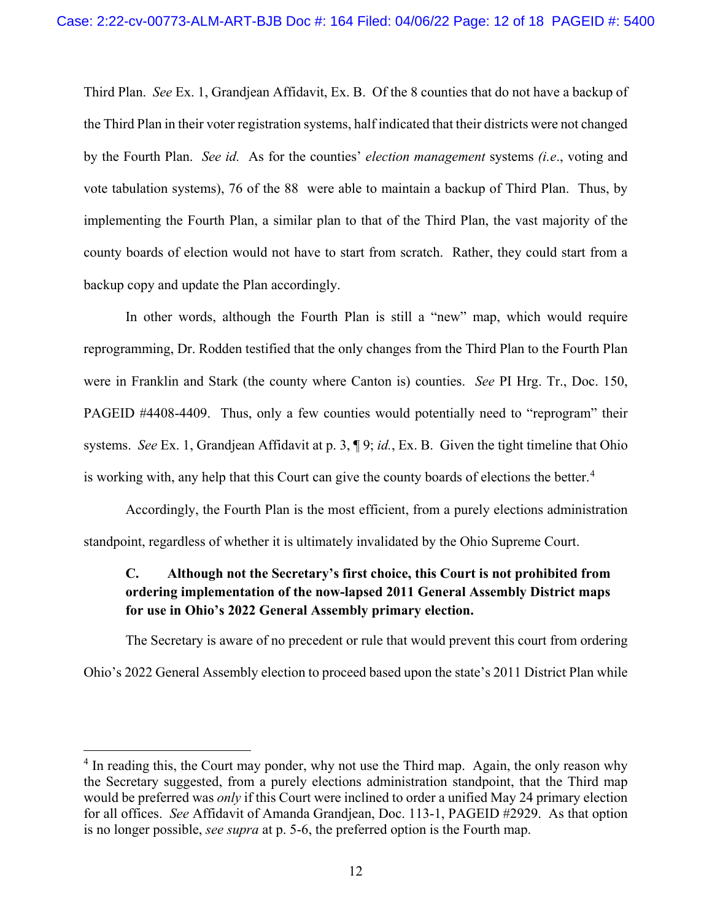Third Plan. *See* Ex. 1, Grandjean Affidavit, Ex. B. Of the 8 counties that do not have a backup of the Third Plan in their voter registration systems, half indicated that their districts were not changed by the Fourth Plan. *See id.* As for the counties' *election management* systems *(i.e*., voting and vote tabulation systems), 76 of the 88 were able to maintain a backup of Third Plan. Thus, by implementing the Fourth Plan, a similar plan to that of the Third Plan, the vast majority of the county boards of election would not have to start from scratch. Rather, they could start from a backup copy and update the Plan accordingly.

In other words, although the Fourth Plan is still a "new" map, which would require reprogramming, Dr. Rodden testified that the only changes from the Third Plan to the Fourth Plan were in Franklin and Stark (the county where Canton is) counties. *See* PI Hrg. Tr., Doc. 150, PAGEID #4408-4409. Thus, only a few counties would potentially need to "reprogram" their systems. *See* Ex. 1, Grandjean Affidavit at p. 3, ¶ 9; *id.*, Ex. B. Given the tight timeline that Ohio is working with, any help that this Court can give the county boards of elections the better.<sup>[4](#page-11-0)</sup>

Accordingly, the Fourth Plan is the most efficient, from a purely elections administration standpoint, regardless of whether it is ultimately invalidated by the Ohio Supreme Court.

# **C. Although not the Secretary's first choice, this Court is not prohibited from ordering implementation of the now-lapsed 2011 General Assembly District maps for use in Ohio's 2022 General Assembly primary election.**

The Secretary is aware of no precedent or rule that would prevent this court from ordering Ohio's 2022 General Assembly election to proceed based upon the state's 2011 District Plan while

<span id="page-11-0"></span><sup>&</sup>lt;sup>4</sup> In reading this, the Court may ponder, why not use the Third map. Again, the only reason why the Secretary suggested, from a purely elections administration standpoint, that the Third map would be preferred was *only* if this Court were inclined to order a unified May 24 primary election for all offices. *See* Affidavit of Amanda Grandjean, Doc. 113-1, PAGEID #2929. As that option is no longer possible, *see supra* at p. 5-6, the preferred option is the Fourth map.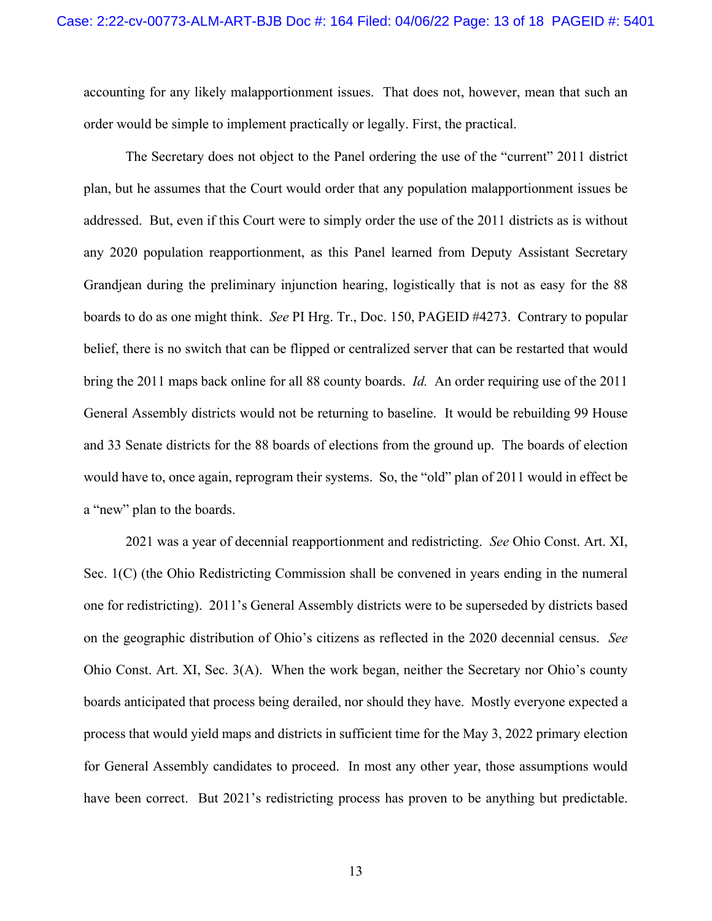accounting for any likely malapportionment issues. That does not, however, mean that such an order would be simple to implement practically or legally. First, the practical.

The Secretary does not object to the Panel ordering the use of the "current" 2011 district plan, but he assumes that the Court would order that any population malapportionment issues be addressed. But, even if this Court were to simply order the use of the 2011 districts as is without any 2020 population reapportionment, as this Panel learned from Deputy Assistant Secretary Grandjean during the preliminary injunction hearing, logistically that is not as easy for the 88 boards to do as one might think. *See* PI Hrg. Tr., Doc. 150, PAGEID #4273. Contrary to popular belief, there is no switch that can be flipped or centralized server that can be restarted that would bring the 2011 maps back online for all 88 county boards. *Id.* An order requiring use of the 2011 General Assembly districts would not be returning to baseline. It would be rebuilding 99 House and 33 Senate districts for the 88 boards of elections from the ground up. The boards of election would have to, once again, reprogram their systems. So, the "old" plan of 2011 would in effect be a "new" plan to the boards.

2021 was a year of decennial reapportionment and redistricting. *See* Ohio Const. Art. XI, Sec. 1(C) (the Ohio Redistricting Commission shall be convened in years ending in the numeral one for redistricting). 2011's General Assembly districts were to be superseded by districts based on the geographic distribution of Ohio's citizens as reflected in the 2020 decennial census. *See*  Ohio Const. Art. XI, Sec. 3(A). When the work began, neither the Secretary nor Ohio's county boards anticipated that process being derailed, nor should they have. Mostly everyone expected a process that would yield maps and districts in sufficient time for the May 3, 2022 primary election for General Assembly candidates to proceed. In most any other year, those assumptions would have been correct. But 2021's redistricting process has proven to be anything but predictable.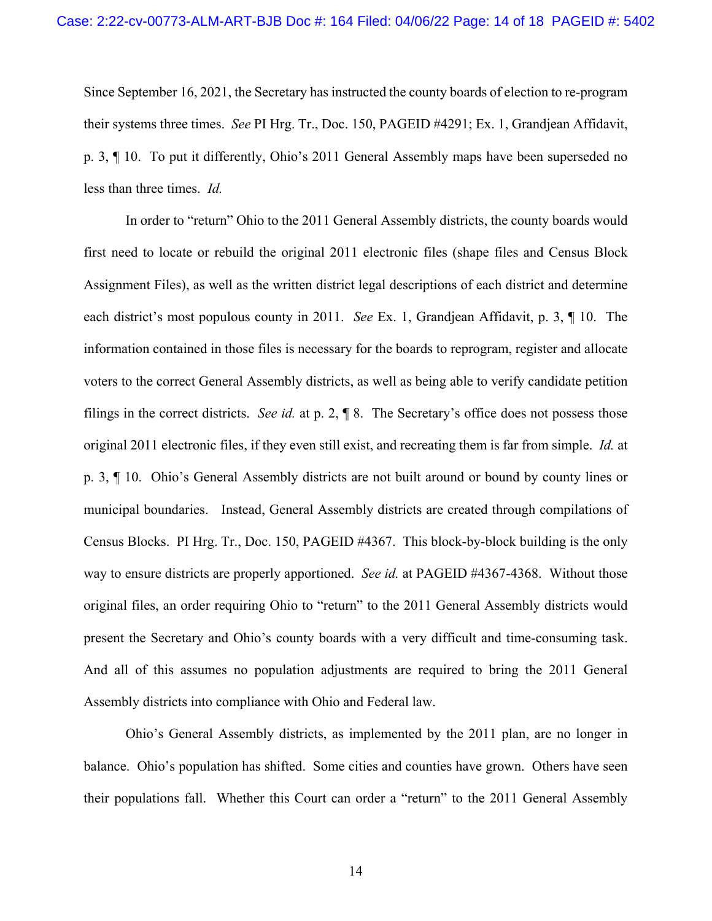Since September 16, 2021, the Secretary has instructed the county boards of election to re-program their systems three times. *See* PI Hrg. Tr., Doc. 150, PAGEID #4291; Ex. 1, Grandjean Affidavit, p. 3, ¶ 10. To put it differently, Ohio's 2011 General Assembly maps have been superseded no less than three times. *Id.*

In order to "return" Ohio to the 2011 General Assembly districts, the county boards would first need to locate or rebuild the original 2011 electronic files (shape files and Census Block Assignment Files), as well as the written district legal descriptions of each district and determine each district's most populous county in 2011. *See* Ex. 1, Grandjean Affidavit, p. 3, ¶ 10. The information contained in those files is necessary for the boards to reprogram, register and allocate voters to the correct General Assembly districts, as well as being able to verify candidate petition filings in the correct districts. *See id.* at p. 2, ¶ 8. The Secretary's office does not possess those original 2011 electronic files, if they even still exist, and recreating them is far from simple. *Id.* at p. 3, ¶ 10. Ohio's General Assembly districts are not built around or bound by county lines or municipal boundaries. Instead, General Assembly districts are created through compilations of Census Blocks. PI Hrg. Tr., Doc. 150, PAGEID #4367. This block-by-block building is the only way to ensure districts are properly apportioned. *See id.* at PAGEID #4367-4368. Without those original files, an order requiring Ohio to "return" to the 2011 General Assembly districts would present the Secretary and Ohio's county boards with a very difficult and time-consuming task. And all of this assumes no population adjustments are required to bring the 2011 General Assembly districts into compliance with Ohio and Federal law.

Ohio's General Assembly districts, as implemented by the 2011 plan, are no longer in balance. Ohio's population has shifted. Some cities and counties have grown. Others have seen their populations fall. Whether this Court can order a "return" to the 2011 General Assembly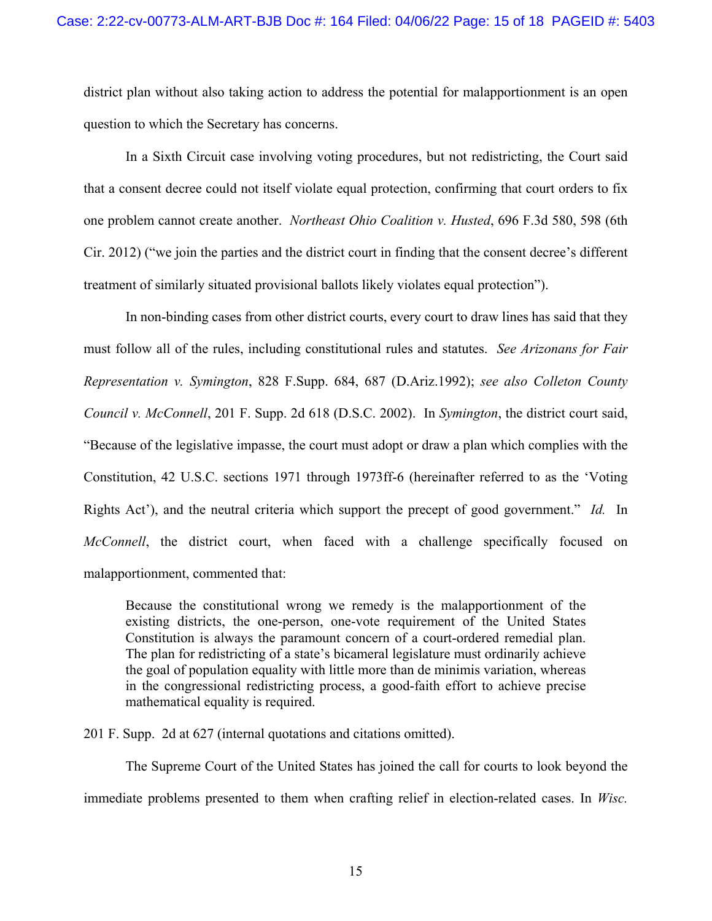district plan without also taking action to address the potential for malapportionment is an open question to which the Secretary has concerns.

In a Sixth Circuit case involving voting procedures, but not redistricting, the Court said that a consent decree could not itself violate equal protection, confirming that court orders to fix one problem cannot create another. *Northeast Ohio Coalition v. Husted*, 696 F.3d 580, 598 (6th Cir. 2012) ("we join the parties and the district court in finding that the consent decree's different treatment of similarly situated provisional ballots likely violates equal protection").

In non-binding cases from other district courts, every court to draw lines has said that they must follow all of the rules, including constitutional rules and statutes. *See Arizonans for Fair Representation v. Symington*, 828 F.Supp. 684, 687 (D.Ariz.1992); *see also Colleton County Council v. McConnell*, 201 F. Supp. 2d 618 (D.S.C. 2002). In *Symington*, the district court said, "Because of the legislative impasse, the court must adopt or draw a plan which complies with the Constitution, 42 U.S.C. sections 1971 through 1973ff-6 (hereinafter referred to as the 'Voting Rights Act'), and the neutral criteria which support the precept of good government." *Id.* In *McConnell*, the district court, when faced with a challenge specifically focused on malapportionment, commented that:

Because the constitutional wrong we remedy is the malapportionment of the existing districts, the one-person, one-vote requirement of the United States Constitution is always the paramount concern of a court-ordered remedial plan. The plan for redistricting of a state's bicameral legislature must ordinarily achieve the goal of population equality with little more than de minimis variation, whereas in the congressional redistricting process, a good-faith effort to achieve precise mathematical equality is required.

201 F. Supp. 2d at 627 (internal quotations and citations omitted).

The Supreme Court of the United States has joined the call for courts to look beyond the immediate problems presented to them when crafting relief in election-related cases. In *Wisc.*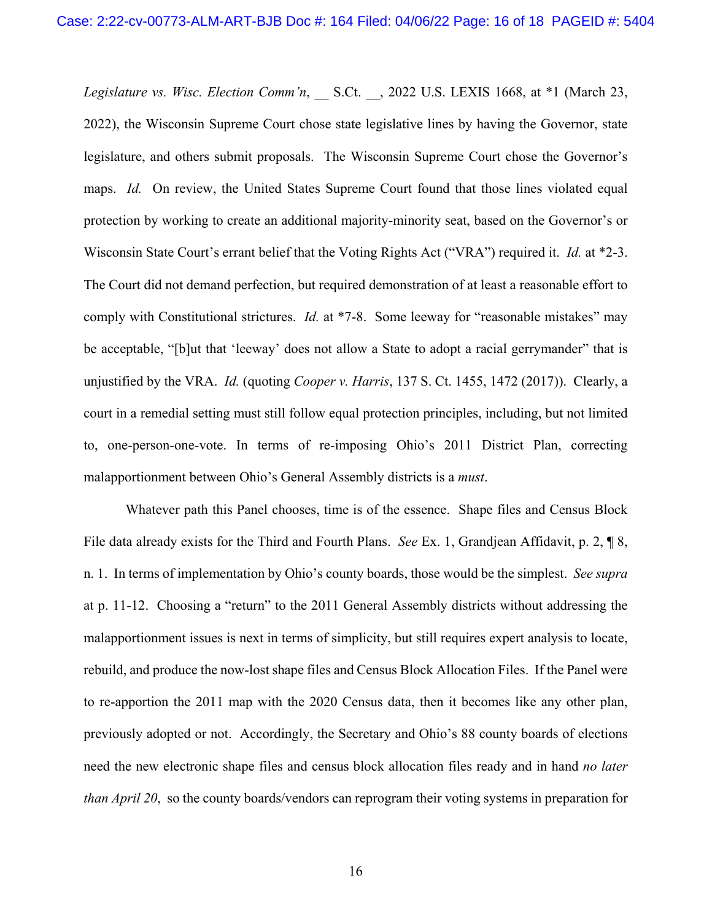*Legislature vs. Wisc. Election Comm'n*, \_\_ S.Ct. \_\_, 2022 U.S. LEXIS 1668, at \*1 (March 23, 2022), the Wisconsin Supreme Court chose state legislative lines by having the Governor, state legislature, and others submit proposals. The Wisconsin Supreme Court chose the Governor's maps. *Id.* On review, the United States Supreme Court found that those lines violated equal protection by working to create an additional majority-minority seat, based on the Governor's or Wisconsin State Court's errant belief that the Voting Rights Act ("VRA") required it. *Id.* at \*2-3. The Court did not demand perfection, but required demonstration of at least a reasonable effort to comply with Constitutional strictures. *Id.* at \*7-8. Some leeway for "reasonable mistakes" may be acceptable, "[b]ut that 'leeway' does not allow a State to adopt a racial gerrymander" that is unjustified by the VRA. *Id.* (quoting *Cooper v. Harris*, 137 S. Ct. 1455, 1472 (2017)). Clearly, a court in a remedial setting must still follow equal protection principles, including, but not limited to, one-person-one-vote. In terms of re-imposing Ohio's 2011 District Plan, correcting malapportionment between Ohio's General Assembly districts is a *must*.

Whatever path this Panel chooses, time is of the essence. Shape files and Census Block File data already exists for the Third and Fourth Plans. *See* Ex. 1, Grandjean Affidavit, p. 2, ¶ 8, n. 1. In terms of implementation by Ohio's county boards, those would be the simplest. *See supra*  at p. 11-12. Choosing a "return" to the 2011 General Assembly districts without addressing the malapportionment issues is next in terms of simplicity, but still requires expert analysis to locate, rebuild, and produce the now-lost shape files and Census Block Allocation Files. If the Panel were to re-apportion the 2011 map with the 2020 Census data, then it becomes like any other plan, previously adopted or not. Accordingly, the Secretary and Ohio's 88 county boards of elections need the new electronic shape files and census block allocation files ready and in hand *no later than April 20*, so the county boards/vendors can reprogram their voting systems in preparation for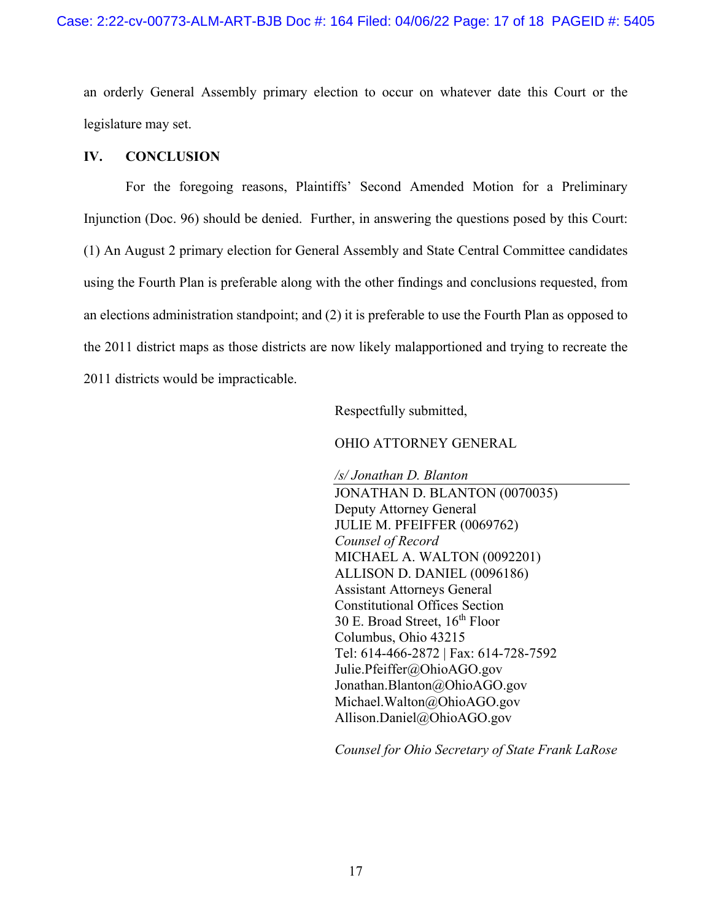an orderly General Assembly primary election to occur on whatever date this Court or the legislature may set.

## **IV. CONCLUSION**

For the foregoing reasons, Plaintiffs' Second Amended Motion for a Preliminary Injunction (Doc. 96) should be denied. Further, in answering the questions posed by this Court: (1) An August 2 primary election for General Assembly and State Central Committee candidates using the Fourth Plan is preferable along with the other findings and conclusions requested, from an elections administration standpoint; and (2) it is preferable to use the Fourth Plan as opposed to the 2011 district maps as those districts are now likely malapportioned and trying to recreate the 2011 districts would be impracticable.

Respectfully submitted,

## OHIO ATTORNEY GENERAL

*/s/ Jonathan D. Blanton* JONATHAN D. BLANTON (0070035) Deputy Attorney General JULIE M. PFEIFFER (0069762) *Counsel of Record* MICHAEL A. WALTON (0092201) ALLISON D. DANIEL (0096186) Assistant Attorneys General Constitutional Offices Section 30 E. Broad Street,  $16<sup>th</sup>$  Floor Columbus, Ohio 43215 Tel: 614-466-2872 | Fax: 614-728-7592 Julie.Pfeiffer@OhioAGO.gov Jonathan.Blanton@OhioAGO.gov Michael.Walton@OhioAGO.gov Allison.Daniel@OhioAGO.gov

*Counsel for Ohio Secretary of State Frank LaRose*